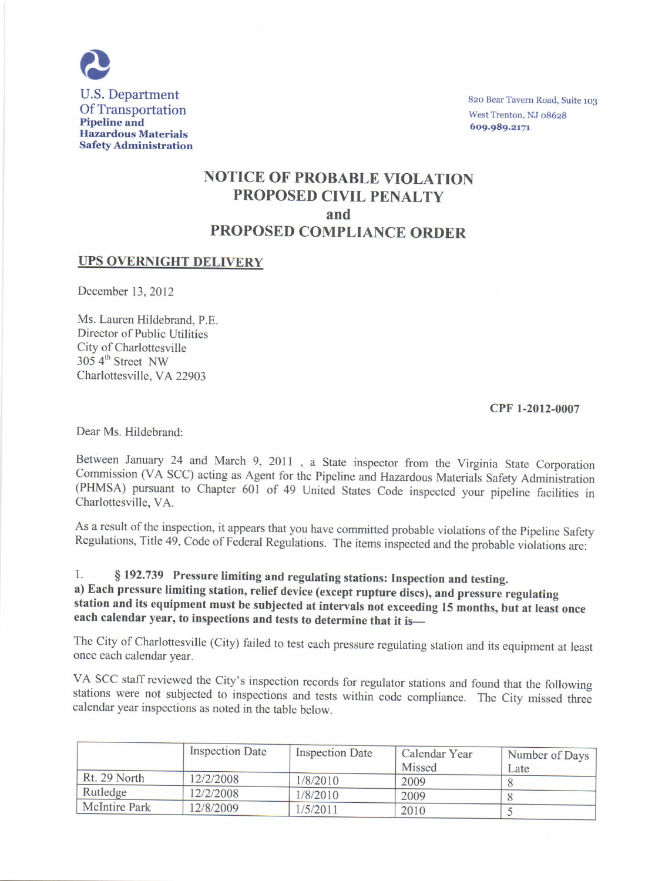

820 Bear Tavern Road, Suite 103 West Trenton, NJ 08628 609.989.2171

# NOTICE OF PROBABLE VIOLATION PROPOSED CIVIL PENALTY and PROPOSED COMPLIANCE ORDER

### UPS OVERNIGHT DELIVERY

December 13, 2012

Ms. Lauren Hildebrand, P.E. Director of Public Utilitics City of Charlottesville 305 4<sup>th</sup> Street NW Charlottesville, VA 22903

#### cPF t-2012\_0007

Dear Ms. Hildebrand:

Between January 24 and March 9, 2011, a State inspector from the Virginia State Corporation<br>Commission (VA SCC) acting as Agent for the Pipeline and Hazardous Materials Safety Administration (PHMSA) pursuant to Chapter 601 of 49 United States Code inspected your pipeline facilities in Charlottesville, VA.

As a result of the inspection, it appears that you have committed probable violations of the Pipeline Safety Regulations, Title 49, Code of Federal Regulations. The items inspected and the probable violations are:

l. S 192.739 Pressure limiting and regulating stations: Inspection and testing. a) Each pressure limiting station, relief device (except rupture discs), and pressure regulating station and its equipment must be subjected at intervals not exceeding 15 months, but-at least once each calendar year, to inspections and tests to determine that it is-

The City of Charlottesville (City) failed to test each pressure regulating station and its equipment at least oncc cach calendar year.

VA SCC staff reviewed the City's inspection records for regulator stations and found that the following stations were not subjected to inspections and tests within code compliance. The City missed three calendar year inspections as noted in the table below.

|                      | <b>Inspection Date</b> | <b>Inspection Date</b> | Calendar Year | Number of Days |
|----------------------|------------------------|------------------------|---------------|----------------|
|                      |                        |                        | Missed        | Late           |
| Rt. 29 North         | 12/2/2008              | 1/8/2010               | 2009          |                |
| Rutledge             | 12/2/2008              | 1/8/2010               | 2009          |                |
| <b>McIntire Park</b> | 12/8/2009              | 1/5/2011               | 2010          |                |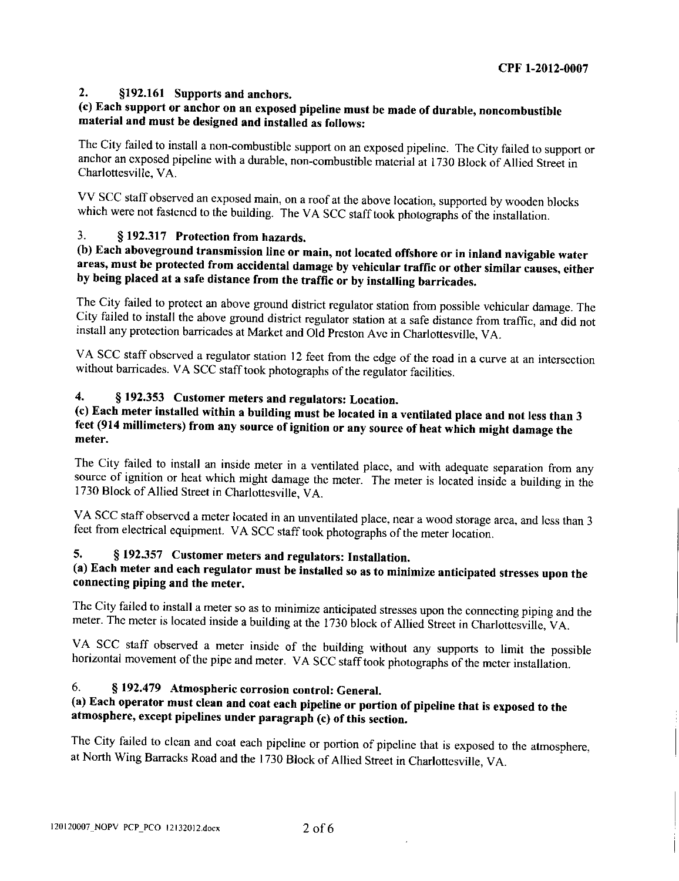### 2. \$192.161 Supports and anchors.

## (c) Each support or anchor on an exposed pipeline must be made of durable, noncombustible material and must be designed and installed as follows:

The City failed to install a non-combustible support on an exposed pipeline. The City failed to support or anchor an exposed pipeline with a durable, non-combustible material at 1730 Block of Allied Street in Charlottesville, VA.

VV SCC staff observed an exposed main, on a roof at the above location, supported by wooden blocks which were not fastened to the building. The VA SCC staff took photographs of the installation.

## 3. S 192.317 Protection from hazards.

## (b) Each aboveground transmission line or main, not located offshore or in inland naviqable water areas, must be protected from accidental damage by vehicular traffic or other similar causes, either by being placed at a safe distance from the traffic or by installing barricades.

The City failed to protect an above ground district regulator station fiom possible vchicular damage. The City failed to install the above ground district regulator station at a safe distance from traffic, and did not install any protection barricadcs at Market and old preston Avc in charloftesville, vA.

VA SCC staff observed a regulator station 12 feet from the edge of the road in a curve at an intersection without barricades. VA SCC staff took photographs of the regulator facilities.

## 4. S 192.353 Customer meters and regulators: Location.

### (c) Each meter installed within a building must be located in a ventilated place and not less than <sup>3</sup> feet (914 millimeters) from any source of ignition or any source of heat which might damage the meter.

The City failed to install an inside meter in a ventilated placc, and with adequate separation from any source of ignition or heat which might damage the meter. The meter is located inside a building in the 1730 Block of Allied Street in Charlotresville, VA.

VA SCC staff observed a meter located in an unventilated place, near a wood storage arca, and lcss than 3 feet ffom electrical equipment. vA scc staff took photographs of the meter location.

# 5. S 192.357 Customer meters and regulators: Installation.

## (a) Each meter and each regulator must be installed so as to minimize anticipated stresses upon the connecting piping and the meter.

The City failed to install a meter so as to minimize anticipated stresses upon the connccting piping and the meter. The meter is located inside a building at the 1730 block of Allied Street in Charlottesville, VA.

VA SCC staff observed a meter insidc of the building without any supports to limit the possible horizontal movement of the pipe and meter. VA SCC staff took photographs of the mcter installation.

### 6. \$ 192.479 Atmospheric corrosion control: General.

# (a) Each operator must clean and coat each pipeline or portion of pipeline that is exposed to the atmosphere, except pipelines under paragraph (c) of this section.

The City failed to clean and coat each pipcline or portion of pipcline that is exposed to the atmosphere, at North wing Barracks Road and the 1730 Block of Allied Street in charlottcsville. VA.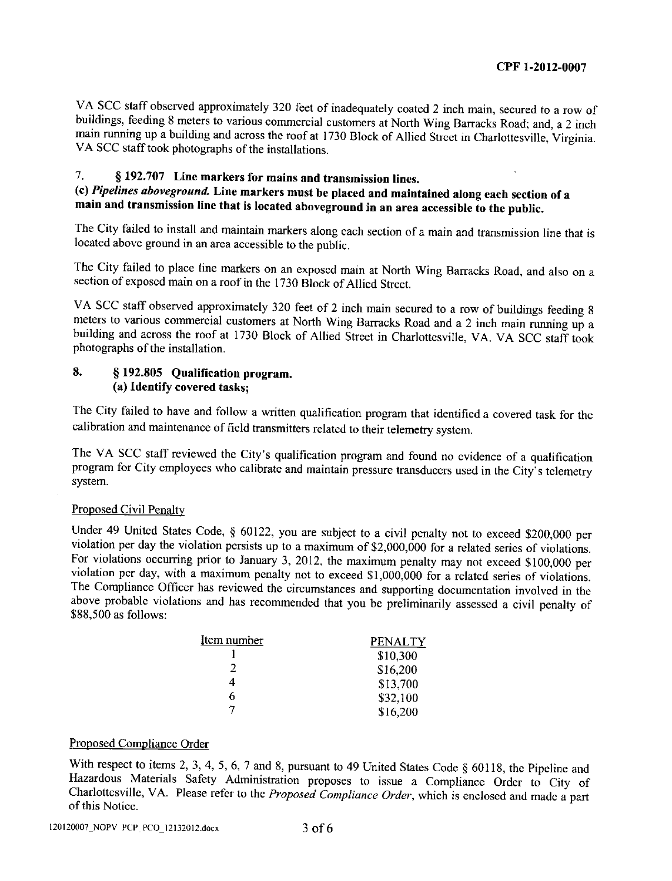VA SCC staff obscrved approximately 320 feet of inadequately coated 2 inch main, secured to a row of buildings, feeding 8 meters to various commercial customers at North Wing Barracks Road; and, a 2 inch main running up a building and across the roof at 1730 Block of Allied Street in Charlottesville, Virginia. VA SCC staff took photographs of the installations.

# 7. S 192.707 Line narkers for mains and transmission lines.

# (c) Pipelines aboveground. Line markers must be placed and maintained along each section of a main and transmission line that is located aboveground in an area accessible to the public.

The City failed to install and maintain markers along cach section of a main and transmission line that is located abovc ground in an area accessible to the public.

The City failed to place line markers on an exposed main at North Wing Barracks Road, and also on a section of exposed main on a roof in the 1730 Block of Allied Street.

VA SCC staff observed approximately 320 feet of 2 inch main secured to a row of buildings feeding 8 meters to various commercial customers at North Wing Barracks Road and a 2 inch main running up a building and across the roof at 1730 Block of Allied Street in Charlottesville, VA. VA SCC staff took photographs of the installation.

### 8. § 192.805 Qualification program. (a) Identify covered tasks;

The City failed to have and follow a written qualification program thar identificd a covered task for the calibration and maintenance of ficld transmitters related to their telemetry systcm.

The VA SCC staff reviewed thc City's qualification program and found no cvidence of a qualification program for City employees who calibrate and maintain pressure transducers used in the City's telemetry system.

#### Proposed Civil Penalty

Under 49 United States Code, § 60122, you are subject to a civil penalty not to exceed \$200,000 per violation per day the violation pcrsists up to a maximum of \$2,000,000 for a related serics of violations. For violations occurring prior to January 3, 2012, the maximum penalty may not exceed \$100,000 per violation per day, with a maximum penalty not to exceed \$1,000,000 for a related series of violations. The Compliance Officer has revicwed the circumstances and supporting documentation involved in the above probable violations and has recommended that you be preliminarily assessed a civil penalty of \$88,500 as follows:

| <u>Item number</u> | PENALTY  |  |
|--------------------|----------|--|
|                    | \$10,300 |  |
| 2                  | \$16,200 |  |
|                    | \$13,700 |  |
| 6                  | \$32,100 |  |
|                    | \$16,200 |  |

#### Proposed Compliance Order

With respect to items 2, 3, 4, 5, 6, 7 and 8, pursuant to 49 United States Code § 60118, the Pipeline and Hazardous Materials Safety Administration proposes to issue a compliance order to city of Charlottesville, VA. Please refer to the Proposed Compliance Order, which is enclosed and madc a part of this Notice.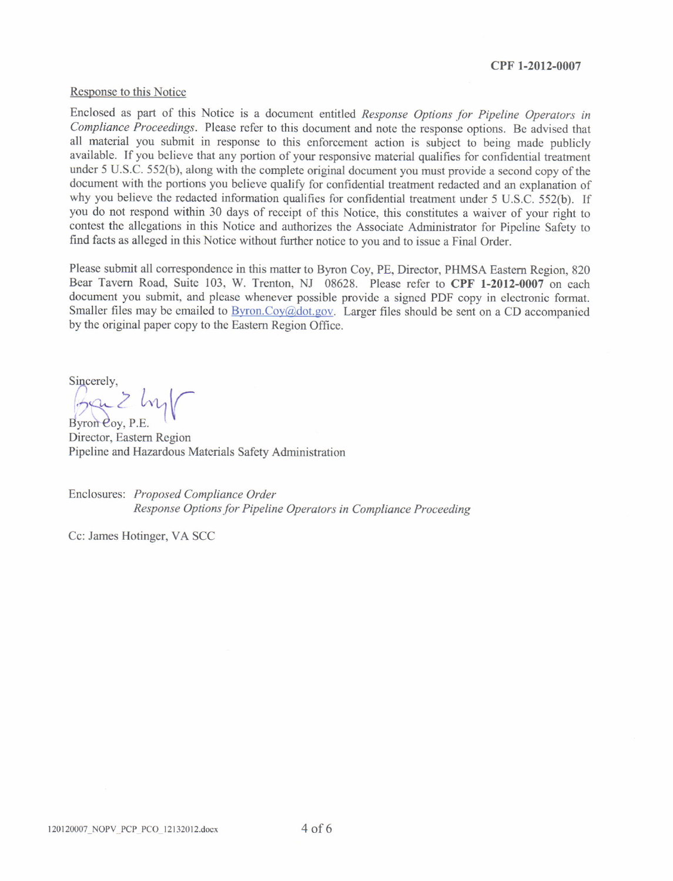#### cPF 1-2012-0007

#### Response to this Notice

Enclosed as part of this Notice is a document mtitled Response Options for Pipeline Operators in Compliance Proceedings. Please refer to this document and note the response options. Be advised that all material you submit in response to this enforcement action is subject to being made publicly available. If you believe that any portion of your responsive material qualifies for confidential treatment under 5 U.S.C. 552(b), along with the complete original document you must provide a second copy of the document with the portions you believe qualify for confidential treatment redacted and an explanation of why you believe the redacted information qualifies for confidential treatment under 5 U.S.C. 552(b). If you do not respond within 30 days of receipt of this Notice, this constitutes a waiver of your right to contest the allegations in this Notice and authorizes the Associate Administrator for Pipeline Safety to find facts as alleged in this Notice without firther notice to you and to issue a Final Order.

Please submit all correspondence in this matter to Byron Coy, PE, Director, PHMSA Eastem Region, 820 Bear Tavern Road, Suite 103, W. Trenton, NJ 08628. Please refer to CPF 1-2012-0007 on each document you submit, and please whenever possible provide a signed PDF copy in electronic format. Smaller files may be emailed to  $\frac{Byron(Coy(q)dot.gov)}{gyof(0, q)dot.gov}$ . Larger files should be sent on a CD accompanied by the original paper copy to the Eastern Region Office.

Sincerely,

Ban 2 hy

Director, Eastem Region Pipeline and Hazardous Materials Safety Administration

Enclosures: Proposed Compliance Order Response Options for Pipeline Operators in Compliance Proceeding

Cc: James Hotinger, VA SCC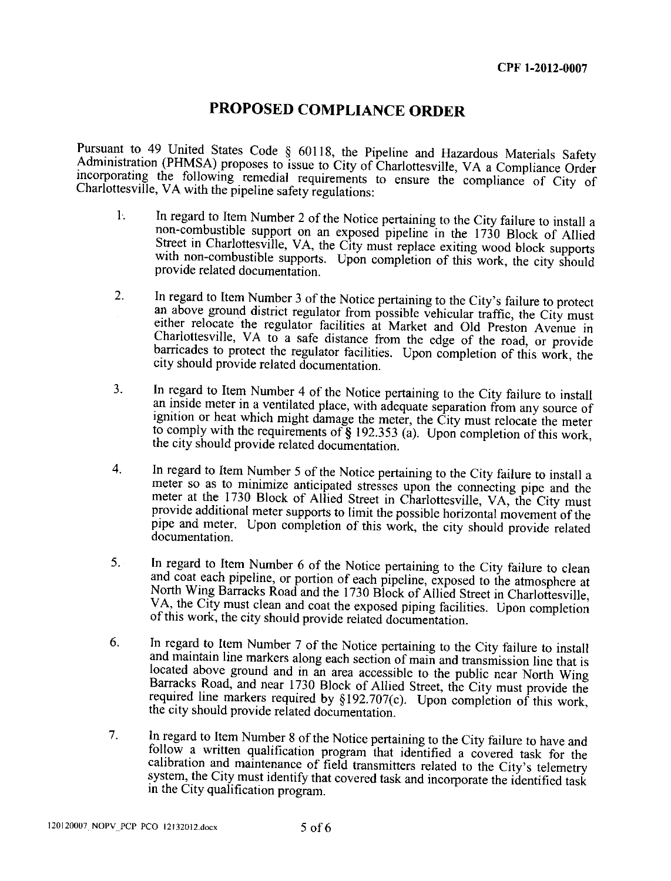# PROPOSED COMPLIANCE ORDER

Pursuant to 49 United States Code § 60118, the Pipeline and Hazardous Materials Safety Administration (PHMSA) proposes to issue to City of Charlottesville, VA a Compliance Order incorporating the following remedial requirements to ensure the compliance of City of Charlottesville, VA with the pipeline safety regulations:

- In regard to Item Number 2 of the Notice pertaining to the City failure to install a  $1<sub>1</sub>$ non-combustible support on an exposed pipeline in the 1730 Block of Allied Street in Charlottesville, VA, the City must replace exiting wood block supports with non-combustible supports. Upon completion of this work, the city should provide related documentation.
- In regard to Item Number 3 of the Notice pertaining to the City's failure to protect  $\overline{2}$ . an above ground district regulator from possible vehicular traffic, the City must either relocate the regulator facilities at Market and Old Preston Avenue in Charlottesville, VA to a safe distance from the edge of the road, or provide barricades to protect the regulator facilities. Upon completion of this work, the city should provide related documentation.
- In regard to Item Number 4 of the Notice pertaining to the City failure to install  $3.$ an inside meter in a ventilated place, with adequate separation from any source of ignition or heat which might damage the meter, the City must relocate the meter to comply with the requirements of § 192.353 (a). Upon completion of this work, the city should provide related documentation.
- In regard to Item Number 5 of the Notice pertaining to the City failure to install a  $\overline{4}$ . meter so as to minimize anticipated stresses upon the connecting pipe and the meter at the 1730 Block of Allied Street in Charlottesville, VA, the City must provide additional meter supports to limit the possible horizontal movement of the pipe and meter. Upon completion of this work, the city should provide related documentation.
- In regard to Item Number 6 of the Notice pertaining to the City failure to clean  $5<sub>1</sub>$ and coat each pipeline, or portion of each pipeline, exposed to the atmosphere at North Wing Barracks Road and the 1730 Block of Allied Street in Charlottesville, VA, the City must clean and coat the exposed piping facilities. Upon completion of this work, the city should provide related documentation.
- 6. In regard to Item Number 7 of the Notice pertaining to the City failure to install and maintain line markers along each section of main and transmission line that is located above ground and in an area accessible to the public near North Wing Barracks Road, and near 1730 Block of Allied Street, the City must provide the required line markers required by §192.707(c). Upon completion of this work, the city should provide related documentation.
- In regard to Item Number 8 of the Notice pertaining to the City failure to have and  $7<sub>1</sub>$ follow a written qualification program that identified a covered task for the calibration and maintenance of field transmitters related to the City's telemetry system, the City must identify that covered task and incorporate the identified task in the City qualification program.